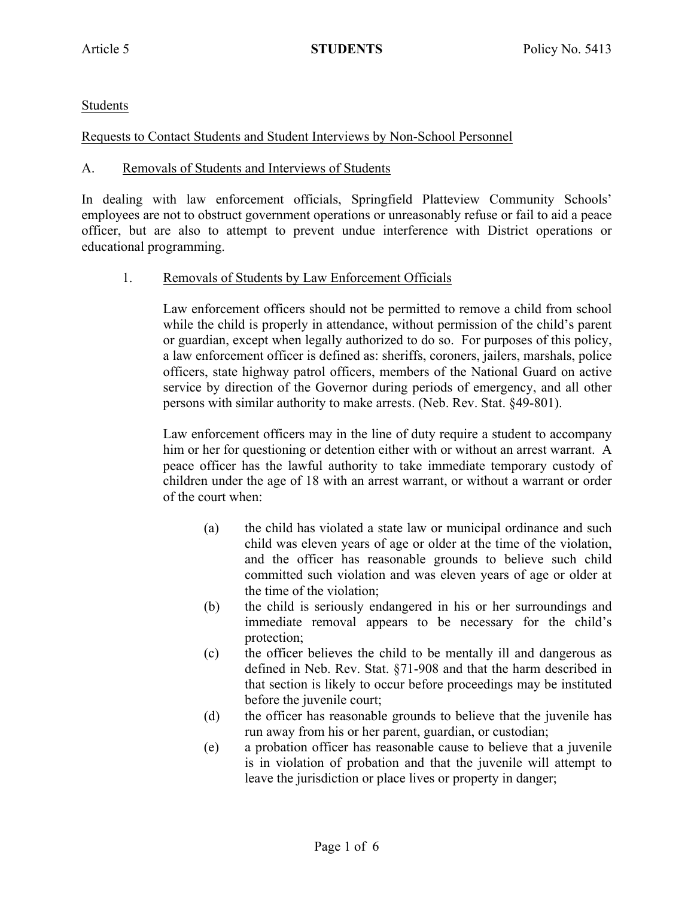Students

Requests to Contact Students and Student Interviews by Non-School Personnel

## A. Removals of Students and Interviews of Students

In dealing with law enforcement officials, Springfield Platteview Community Schools' employees are not to obstruct government operations or unreasonably refuse or fail to aid a peace officer, but are also to attempt to prevent undue interference with District operations or educational programming.

1. Removals of Students by Law Enforcement Officials

Law enforcement officers should not be permitted to remove a child from school while the child is properly in attendance, without permission of the child's parent or guardian, except when legally authorized to do so. For purposes of this policy, a law enforcement officer is defined as: sheriffs, coroners, jailers, marshals, police officers, state highway patrol officers, members of the National Guard on active service by direction of the Governor during periods of emergency, and all other persons with similar authority to make arrests. (Neb. Rev. Stat. §49-801).

Law enforcement officers may in the line of duty require a student to accompany him or her for questioning or detention either with or without an arrest warrant. A peace officer has the lawful authority to take immediate temporary custody of children under the age of 18 with an arrest warrant, or without a warrant or order of the court when:

- (a) the child has violated a state law or municipal ordinance and such child was eleven years of age or older at the time of the violation, and the officer has reasonable grounds to believe such child committed such violation and was eleven years of age or older at the time of the violation;
- (b) the child is seriously endangered in his or her surroundings and immediate removal appears to be necessary for the child's protection;
- (c) the officer believes the child to be mentally ill and dangerous as defined in Neb. Rev. Stat. §71-908 and that the harm described in that section is likely to occur before proceedings may be instituted before the juvenile court;
- (d) the officer has reasonable grounds to believe that the juvenile has run away from his or her parent, guardian, or custodian;
- (e) a probation officer has reasonable cause to believe that a juvenile is in violation of probation and that the juvenile will attempt to leave the jurisdiction or place lives or property in danger;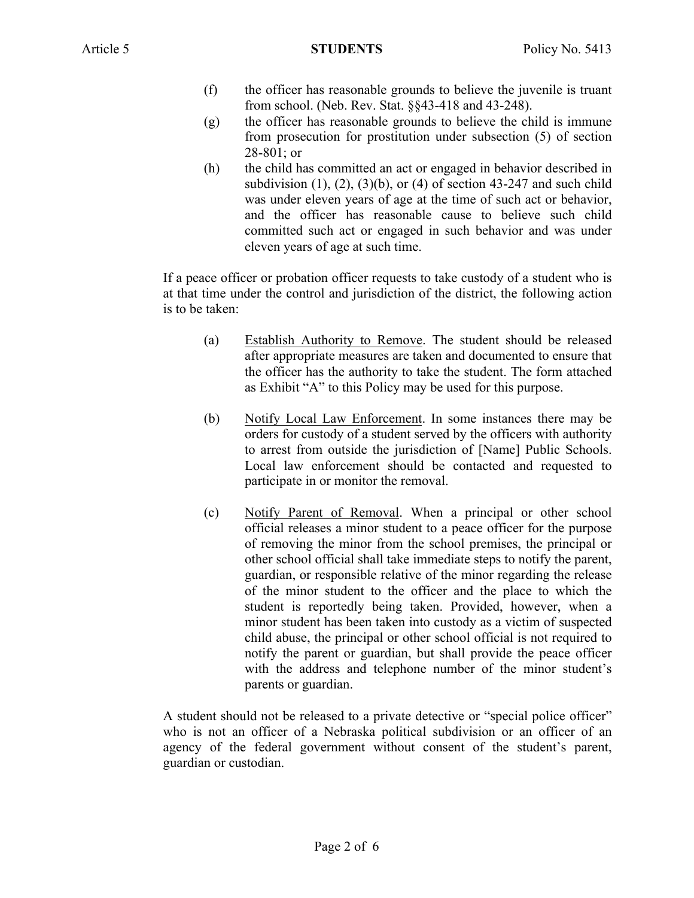- (f) the officer has reasonable grounds to believe the juvenile is truant from school. (Neb. Rev. Stat. §§43-418 and 43-248).
- (g) the officer has reasonable grounds to believe the child is immune from prosecution for prostitution under subsection (5) of section 28-801; or
- (h) the child has committed an act or engaged in behavior described in subdivision  $(1)$ ,  $(2)$ ,  $(3)(b)$ , or  $(4)$  of section 43-247 and such child was under eleven years of age at the time of such act or behavior, and the officer has reasonable cause to believe such child committed such act or engaged in such behavior and was under eleven years of age at such time.

If a peace officer or probation officer requests to take custody of a student who is at that time under the control and jurisdiction of the district, the following action is to be taken:

- (a) Establish Authority to Remove. The student should be released after appropriate measures are taken and documented to ensure that the officer has the authority to take the student. The form attached as Exhibit "A" to this Policy may be used for this purpose.
- (b) Notify Local Law Enforcement. In some instances there may be orders for custody of a student served by the officers with authority to arrest from outside the jurisdiction of [Name] Public Schools. Local law enforcement should be contacted and requested to participate in or monitor the removal.
- (c) Notify Parent of Removal. When a principal or other school official releases a minor student to a peace officer for the purpose of removing the minor from the school premises, the principal or other school official shall take immediate steps to notify the parent, guardian, or responsible relative of the minor regarding the release of the minor student to the officer and the place to which the student is reportedly being taken. Provided, however, when a minor student has been taken into custody as a victim of suspected child abuse, the principal or other school official is not required to notify the parent or guardian, but shall provide the peace officer with the address and telephone number of the minor student's parents or guardian.

A student should not be released to a private detective or "special police officer" who is not an officer of a Nebraska political subdivision or an officer of an agency of the federal government without consent of the student's parent, guardian or custodian.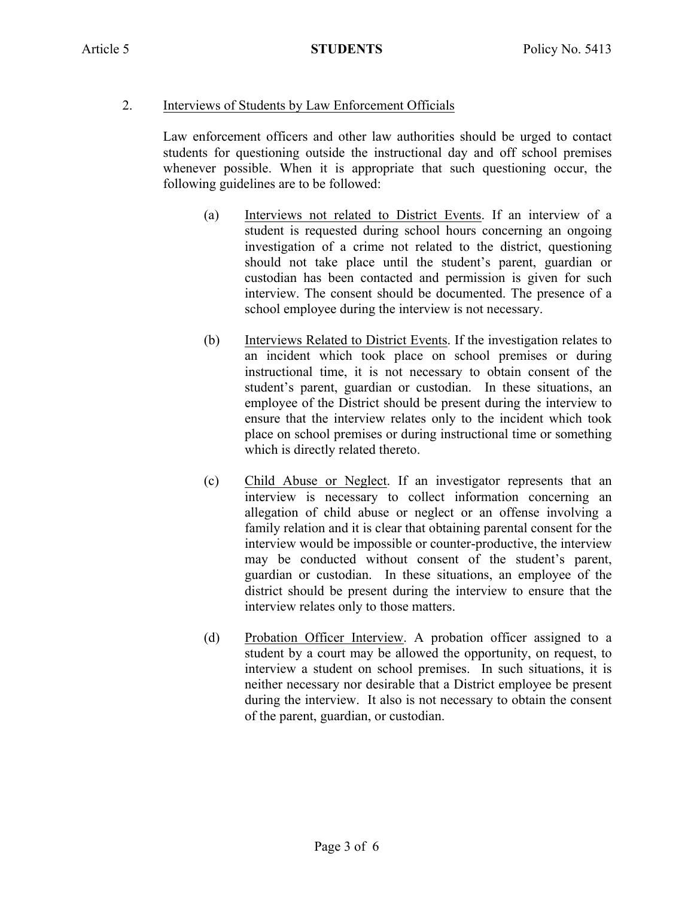## 2. Interviews of Students by Law Enforcement Officials

Law enforcement officers and other law authorities should be urged to contact students for questioning outside the instructional day and off school premises whenever possible. When it is appropriate that such questioning occur, the following guidelines are to be followed:

- (a) Interviews not related to District Events. If an interview of a student is requested during school hours concerning an ongoing investigation of a crime not related to the district, questioning should not take place until the student's parent, guardian or custodian has been contacted and permission is given for such interview. The consent should be documented. The presence of a school employee during the interview is not necessary.
- (b) Interviews Related to District Events. If the investigation relates to an incident which took place on school premises or during instructional time, it is not necessary to obtain consent of the student's parent, guardian or custodian. In these situations, an employee of the District should be present during the interview to ensure that the interview relates only to the incident which took place on school premises or during instructional time or something which is directly related thereto.
- (c) Child Abuse or Neglect. If an investigator represents that an interview is necessary to collect information concerning an allegation of child abuse or neglect or an offense involving a family relation and it is clear that obtaining parental consent for the interview would be impossible or counter-productive, the interview may be conducted without consent of the student's parent, guardian or custodian. In these situations, an employee of the district should be present during the interview to ensure that the interview relates only to those matters.
- (d) Probation Officer Interview. A probation officer assigned to a student by a court may be allowed the opportunity, on request, to interview a student on school premises. In such situations, it is neither necessary nor desirable that a District employee be present during the interview. It also is not necessary to obtain the consent of the parent, guardian, or custodian.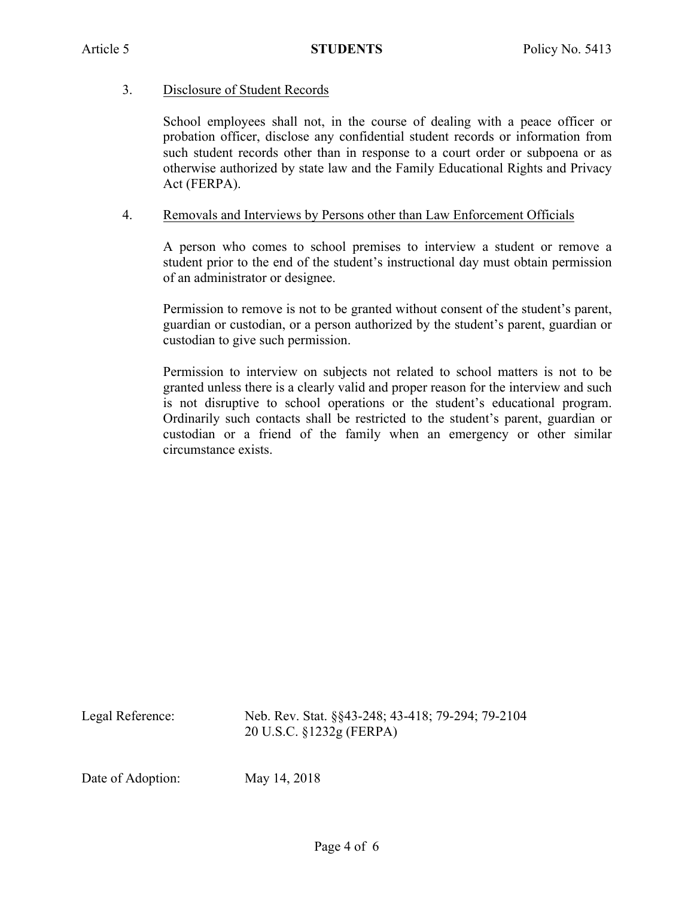#### 3. Disclosure of Student Records

School employees shall not, in the course of dealing with a peace officer or probation officer, disclose any confidential student records or information from such student records other than in response to a court order or subpoena or as otherwise authorized by state law and the Family Educational Rights and Privacy Act (FERPA).

#### 4. Removals and Interviews by Persons other than Law Enforcement Officials

A person who comes to school premises to interview a student or remove a student prior to the end of the student's instructional day must obtain permission of an administrator or designee.

Permission to remove is not to be granted without consent of the student's parent, guardian or custodian, or a person authorized by the student's parent, guardian or custodian to give such permission.

Permission to interview on subjects not related to school matters is not to be granted unless there is a clearly valid and proper reason for the interview and such is not disruptive to school operations or the student's educational program. Ordinarily such contacts shall be restricted to the student's parent, guardian or custodian or a friend of the family when an emergency or other similar circumstance exists.

Legal Reference: Neb. Rev. Stat. §§43-248; 43-418; 79-294; 79-2104 20 U.S.C. §1232g (FERPA)

Date of Adoption: May 14, 2018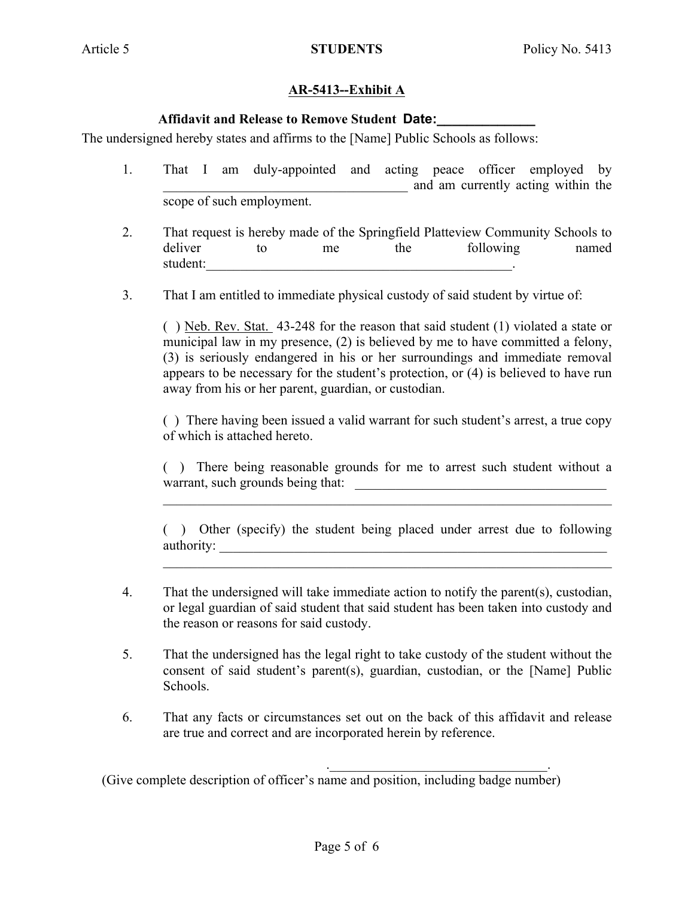# **AR-5413--Exhibit A**

## **Affidavit and Release to Remove Student Date:\_\_\_\_\_\_\_\_\_\_\_\_\_**

The undersigned hereby states and affirms to the [Name] Public Schools as follows:

- 1. That I am duly-appointed and acting peace officer employed by \_\_\_\_\_\_\_\_\_\_\_\_\_\_\_\_\_\_\_\_\_\_\_\_\_\_\_\_\_\_\_\_\_\_\_\_ and am currently acting within the scope of such employment.
- 2. That request is hereby made of the Springfield Platteview Community Schools to deliver to me the following named student:
- 3. That I am entitled to immediate physical custody of said student by virtue of:

( ) Neb. Rev. Stat. 43-248 for the reason that said student (1) violated a state or municipal law in my presence, (2) is believed by me to have committed a felony, (3) is seriously endangered in his or her surroundings and immediate removal appears to be necessary for the student's protection, or (4) is believed to have run away from his or her parent, guardian, or custodian.

( ) There having been issued a valid warrant for such student's arrest, a true copy of which is attached hereto.

( ) There being reasonable grounds for me to arrest such student without a warrant, such grounds being that:

 $\mathcal{L}_\mathcal{L} = \mathcal{L}_\mathcal{L} = \mathcal{L}_\mathcal{L} = \mathcal{L}_\mathcal{L} = \mathcal{L}_\mathcal{L} = \mathcal{L}_\mathcal{L} = \mathcal{L}_\mathcal{L} = \mathcal{L}_\mathcal{L} = \mathcal{L}_\mathcal{L} = \mathcal{L}_\mathcal{L} = \mathcal{L}_\mathcal{L} = \mathcal{L}_\mathcal{L} = \mathcal{L}_\mathcal{L} = \mathcal{L}_\mathcal{L} = \mathcal{L}_\mathcal{L} = \mathcal{L}_\mathcal{L} = \mathcal{L}_\mathcal{L}$ 

( ) Other (specify) the student being placed under arrest due to following authority:

 $\mathcal{L}_\mathcal{L} = \mathcal{L}_\mathcal{L} = \mathcal{L}_\mathcal{L} = \mathcal{L}_\mathcal{L} = \mathcal{L}_\mathcal{L} = \mathcal{L}_\mathcal{L} = \mathcal{L}_\mathcal{L} = \mathcal{L}_\mathcal{L} = \mathcal{L}_\mathcal{L} = \mathcal{L}_\mathcal{L} = \mathcal{L}_\mathcal{L} = \mathcal{L}_\mathcal{L} = \mathcal{L}_\mathcal{L} = \mathcal{L}_\mathcal{L} = \mathcal{L}_\mathcal{L} = \mathcal{L}_\mathcal{L} = \mathcal{L}_\mathcal{L}$ 

- 4. That the undersigned will take immediate action to notify the parent(s), custodian, or legal guardian of said student that said student has been taken into custody and the reason or reasons for said custody.
- 5. That the undersigned has the legal right to take custody of the student without the consent of said student's parent(s), guardian, custodian, or the [Name] Public Schools.
- 6. That any facts or circumstances set out on the back of this affidavit and release are true and correct and are incorporated herein by reference.

. The contribution of the contribution of  $\mathcal{L}_\mathcal{L}$ 

(Give complete description of officer's name and position, including badge number)